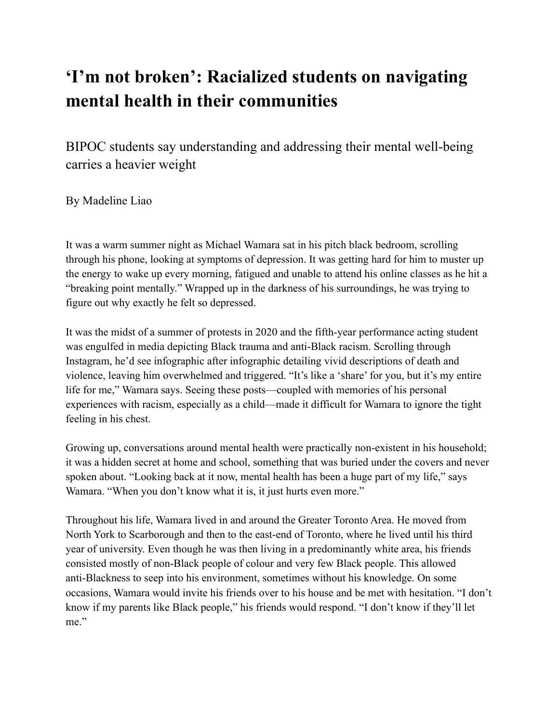## **'I'm not broken': Racialized students on navigating mental health in their communities**

BIPOC students say understanding and addressing their mental well-being carries a heavier weight

By Madeline Liao

It was a warm summer night as Michael Wamara sat in his pitch black bedroom, scrolling through his phone, looking at symptoms of depression. It was getting hard for him to muster up the energy to wake up every morning, fatigued and unable to attend his online classes as he hit a "breaking point mentally." Wrapped up in the darkness of his surroundings, he was trying to figure out why exactly he felt so depressed.

It was the midst of a summer of protests in 2020 and the fifth-year performance acting student was engulfed in media depicting Black trauma and anti-Black racism. Scrolling through Instagram, he'd see infographic after infographic detailing vivid descriptions of death and violence, leaving him overwhelmed and triggered. "It's like a 'share' for you, but it's my entire life for me," Wamara says. Seeing these posts—coupled with memories of his personal experiences with racism, especially as a child—made it difficult for Wamara to ignore the tight feeling in his chest.

Growing up, conversations around mental health were practically non-existent in his household; it was a hidden secret at home and school, something that was buried under the covers and never spoken about. "Looking back at it now, mental health has been a huge part of my life," says Wamara. "When you don't know what it is, it just hurts even more."

Throughout his life, Wamara lived in and around the Greater Toronto Area. He moved from North York to Scarborough and then to the east-end of Toronto, where he lived until his third year of university. Even though he was then living in a predominantly white area, his friends consisted mostly of non-Black people of colour and very few Black people. This allowed anti-Blackness to seep into his environment, sometimes without his knowledge. On some occasions, Wamara would invite his friends over to his house and be met with hesitation. "I don't know if my parents like Black people," his friends would respond. "I don't know if they'll let me."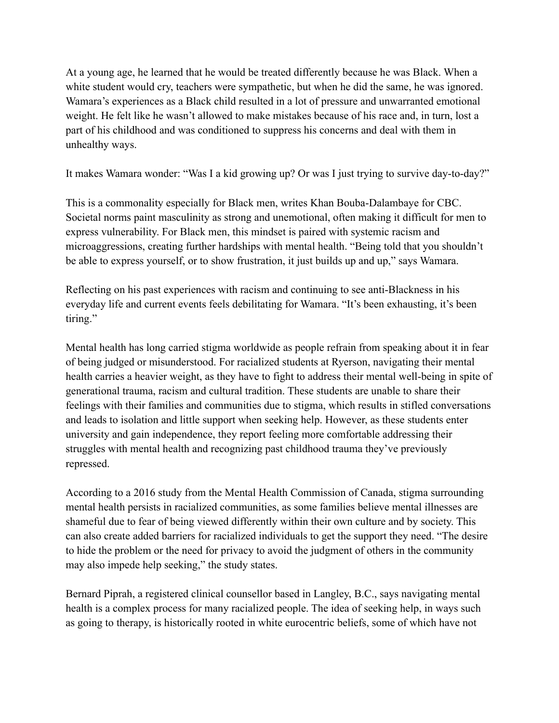At a young age, he learned that he would be treated differently because he was Black. When a white student would cry, teachers were sympathetic, but when he did the same, he was ignored. Wamara's experiences as a Black child resulted in a lot of pressure and unwarranted emotional weight. He felt like he wasn't allowed to make mistakes because of his race and, in turn, lost a part of his childhood and was conditioned to suppress his concerns and deal with them in unhealthy ways.

It makes Wamara wonder: "Was I a kid growing up? Or was I just trying to survive day-to-day?"

This is a commonality especially for Black men, writes Khan Bouba-Dalambaye for CBC. Societal norms paint masculinity as strong and unemotional, often making it difficult for men to express vulnerability. For Black men, this mindset is paired with systemic racism and microaggressions, creating further hardships with mental health. "Being told that you shouldn't be able to express yourself, or to show frustration, it just builds up and up," says Wamara.

Reflecting on his past experiences with racism and continuing to see anti-Blackness in his everyday life and current events feels debilitating for Wamara. "It's been exhausting, it's been tiring."

Mental health has long carried stigma worldwide as people refrain from speaking about it in fear of being judged or misunderstood. For racialized students at Ryerson, navigating their mental health carries a heavier weight, as they have to fight to address their mental well-being in spite of generational trauma, racism and cultural tradition. These students are unable to share their feelings with their families and communities due to stigma, which results in stifled conversations and leads to isolation and little support when seeking help. However, as these students enter university and gain independence, they report feeling more comfortable addressing their struggles with mental health and recognizing past childhood trauma they've previously repressed.

According to a 2016 study from the Mental Health Commission of Canada, stigma surrounding mental health persists in racialized communities, as some families believe mental illnesses are shameful due to fear of being viewed differently within their own culture and by society. This can also create added barriers for racialized individuals to get the support they need. "The desire to hide the problem or the need for privacy to avoid the judgment of others in the community may also impede help seeking," the study states.

Bernard Piprah, a registered clinical counsellor based in Langley, B.C., says navigating mental health is a complex process for many racialized people. The idea of seeking help, in ways such as going to therapy, is historically rooted in white eurocentric beliefs, some of which have not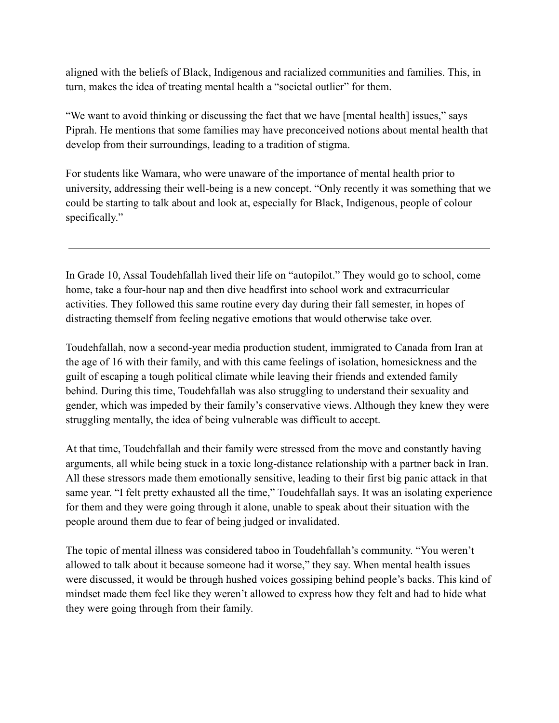aligned with the beliefs of Black, Indigenous and racialized communities and families. This, in turn, makes the idea of treating mental health a "societal outlier" for them.

"We want to avoid thinking or discussing the fact that we have [mental health] issues," says Piprah. He mentions that some families may have preconceived notions about mental health that develop from their surroundings, leading to a tradition of stigma.

For students like Wamara, who were unaware of the importance of mental health prior to university, addressing their well-being is a new concept. "Only recently it was something that we could be starting to talk about and look at, especially for Black, Indigenous, people of colour specifically."

In Grade 10, Assal Toudehfallah lived their life on "autopilot." They would go to school, come home, take a four-hour nap and then dive headfirst into school work and extracurricular activities. They followed this same routine every day during their fall semester, in hopes of distracting themself from feeling negative emotions that would otherwise take over.

Toudehfallah, now a second-year media production student, immigrated to Canada from Iran at the age of 16 with their family, and with this came feelings of isolation, homesickness and the guilt of escaping a tough political climate while leaving their friends and extended family behind. During this time, Toudehfallah was also struggling to understand their sexuality and gender, which was impeded by their family's conservative views. Although they knew they were struggling mentally, the idea of being vulnerable was difficult to accept.

At that time, Toudehfallah and their family were stressed from the move and constantly having arguments, all while being stuck in a toxic long-distance relationship with a partner back in Iran. All these stressors made them emotionally sensitive, leading to their first big panic attack in that same year. "I felt pretty exhausted all the time," Toudehfallah says. It was an isolating experience for them and they were going through it alone, unable to speak about their situation with the people around them due to fear of being judged or invalidated.

The topic of mental illness was considered taboo in Toudehfallah's community. "You weren't allowed to talk about it because someone had it worse," they say. When mental health issues were discussed, it would be through hushed voices gossiping behind people's backs. This kind of mindset made them feel like they weren't allowed to express how they felt and had to hide what they were going through from their family.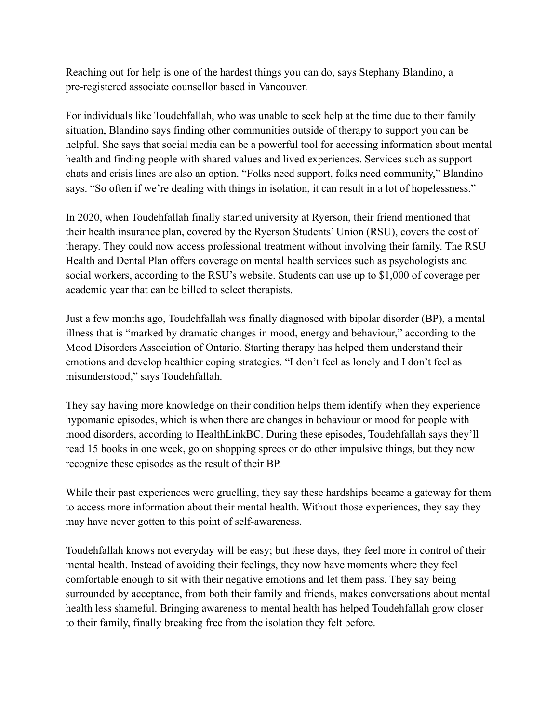Reaching out for help is one of the hardest things you can do, says Stephany Blandino, a pre-registered associate counsellor based in Vancouver.

For individuals like Toudehfallah, who was unable to seek help at the time due to their family situation, Blandino says finding other communities outside of therapy to support you can be helpful. She says that social media can be a powerful tool for accessing information about mental health and finding people with shared values and lived experiences. Services such as support chats and crisis lines are also an option. "Folks need support, folks need community," Blandino says. "So often if we're dealing with things in isolation, it can result in a lot of hopelessness."

In 2020, when Toudehfallah finally started university at Ryerson, their friend mentioned that their health insurance plan, covered by the Ryerson Students' Union (RSU), covers the cost of therapy. They could now access professional treatment without involving their family. The RSU Health and Dental Plan offers coverage on mental health services such as psychologists and social workers, according to the RSU's website. Students can use up to \$1,000 of coverage per academic year that can be billed to select therapists.

Just a few months ago, Toudehfallah was finally diagnosed with bipolar disorder (BP), a mental illness that is "marked by dramatic changes in mood, energy and behaviour," according to the Mood Disorders Association of Ontario. Starting therapy has helped them understand their emotions and develop healthier coping strategies. "I don't feel as lonely and I don't feel as misunderstood," says Toudehfallah.

They say having more knowledge on their condition helps them identify when they experience hypomanic episodes, which is when there are changes in behaviour or mood for people with mood disorders, according to HealthLinkBC. During these episodes, Toudehfallah says they'll read 15 books in one week, go on shopping sprees or do other impulsive things, but they now recognize these episodes as the result of their BP.

While their past experiences were gruelling, they say these hardships became a gateway for them to access more information about their mental health. Without those experiences, they say they may have never gotten to this point of self-awareness.

Toudehfallah knows not everyday will be easy; but these days, they feel more in control of their mental health. Instead of avoiding their feelings, they now have moments where they feel comfortable enough to sit with their negative emotions and let them pass. They say being surrounded by acceptance, from both their family and friends, makes conversations about mental health less shameful. Bringing awareness to mental health has helped Toudehfallah grow closer to their family, finally breaking free from the isolation they felt before.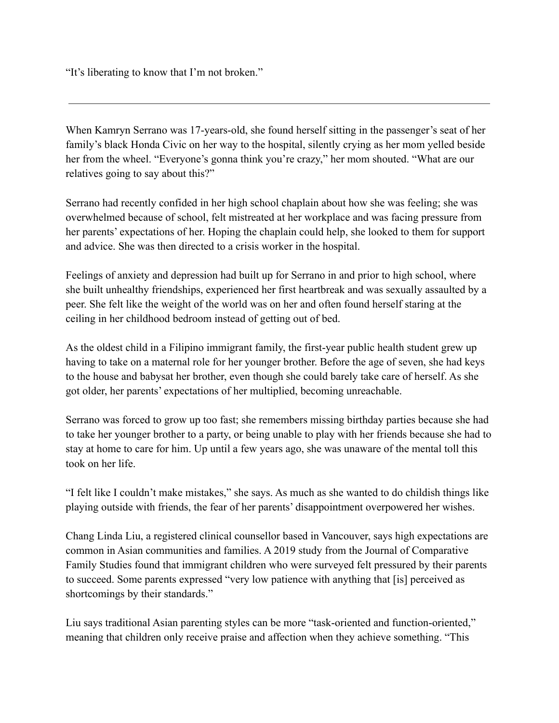"It's liberating to know that I'm not broken."

When Kamryn Serrano was 17-years-old, she found herself sitting in the passenger's seat of her family's black Honda Civic on her way to the hospital, silently crying as her mom yelled beside her from the wheel. "Everyone's gonna think you're crazy," her mom shouted. "What are our relatives going to say about this?"

Serrano had recently confided in her high school chaplain about how she was feeling; she was overwhelmed because of school, felt mistreated at her workplace and was facing pressure from her parents' expectations of her. Hoping the chaplain could help, she looked to them for support and advice. She was then directed to a crisis worker in the hospital.

Feelings of anxiety and depression had built up for Serrano in and prior to high school, where she built unhealthy friendships, experienced her first heartbreak and was sexually assaulted by a peer. She felt like the weight of the world was on her and often found herself staring at the ceiling in her childhood bedroom instead of getting out of bed.

As the oldest child in a Filipino immigrant family, the first-year public health student grew up having to take on a maternal role for her younger brother. Before the age of seven, she had keys to the house and babysat her brother, even though she could barely take care of herself. As she got older, her parents' expectations of her multiplied, becoming unreachable.

Serrano was forced to grow up too fast; she remembers missing birthday parties because she had to take her younger brother to a party, or being unable to play with her friends because she had to stay at home to care for him. Up until a few years ago, she was unaware of the mental toll this took on her life.

"I felt like I couldn't make mistakes," she says. As much as she wanted to do childish things like playing outside with friends, the fear of her parents' disappointment overpowered her wishes.

Chang Linda Liu, a registered clinical counsellor based in Vancouver, says high expectations are common in Asian communities and families. A 2019 study from the Journal of Comparative Family Studies found that immigrant children who were surveyed felt pressured by their parents to succeed. Some parents expressed "very low patience with anything that [is] perceived as shortcomings by their standards."

Liu says traditional Asian parenting styles can be more "task-oriented and function-oriented," meaning that children only receive praise and affection when they achieve something. "This